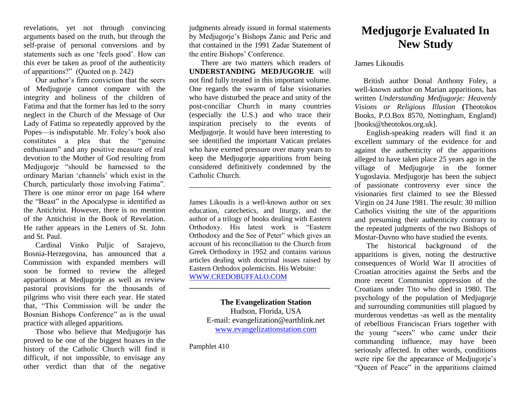revelations, yet not through convincing arguments based on the truth, but through the self-praise of personal conversions and by statements such as one 'feels good'. How can this ever be taken as proof of the authenticity of apparitions?" (Quoted on p. 242)

Our author's firm conviction that the seers of Medjugorje cannot compare with the integrity and holiness of the children of Fatima and that the former has led to the sorry neglect in the Church of the Message of Our Lady of Fatima so repeatedly approved by the Popes—is indisputable. Mr. Foley's book also constitutes a plea that the "genuine enthusiasm" and any positive measure of real devotion to the Mother of God resulting from Medjugorje "should be harnessed to the ordinary Marian 'channels' which exist in the Church, particularly those involving Fatima". There is one minor error on page 164 where the "Beast" in the Apocalypse is identified as the Antichrist. However, there is no mention of the Antichrist in the Book of Revelation. He rather appears in the Letters of St. John and St. Paul.

Cardinal Vinko Puljic of Sarajevo, Bosnia-Herzegovina, has announced that a Commission with expanded members will soon be formed to review the alleged apparitions at Medjugorje as well as review pastoral provisions for the thousands of pilgrims who visit there each year. He stated that, "This Commission will be under the Bosnian Bishops Conference" as is the usual practice with alleged apparitions.

Those who believe that Medjugorje has proved to be one of the biggest hoaxes in the history of the Catholic Church will find it difficult, if not impossible, to envisage any other verdict than that of the negative

judgments already issued in formal statements by Medjugorje's Bishops Zanic and Peric and that contained in the 1991 Zadar Statement of the entire Bishops' Conference.

There are two matters which readers of **UNDERSTANDING MEDJUGORJE** will not find fully treated in this important volume. One regards the swarm of false visionaries who have disturbed the peace and unity of the post-conciliar Church in many countries (especially the U.S.) and who trace their inspiration precisely to the events of Medjugorje. It would have been interesting to see identified the important Vatican prelates who have exerted pressure over many years to keep the Medjugorje apparitions from being considered definitively condemned by the Catholic Church.

James Likoudis is a well-known author on sex education, catechetics, and liturgy, and the author of a trilogy of books dealing with Eastern Orthodoxy. His latest work is "Eastern Orthodoxy and the See of Peter" which gives an account of his reconciliation to the Church from Greek Orthodoxy in 1952 and contains various articles dealing with doctrinal issues raised by Eastern Orthodox polemicists. His Website: [WWW.CREDOBUFFALO.COM](http://www.credobuffalo.com/)

\_\_\_\_\_\_\_\_\_\_\_\_\_\_\_\_\_\_\_\_\_\_\_\_\_\_\_\_\_\_\_\_\_\_\_\_

**The Evangelization Station**  Hudson, Florida, USA E-mail: evangelization@earthlink.net [www.evangelizationstation.com](http://www.pjpiisoe.org/)

**\_\_\_\_\_\_\_\_\_\_\_\_\_\_\_\_\_\_\_\_\_\_\_\_\_\_\_\_\_\_\_\_\_\_\_\_\_\_\_**

Pamphlet 410

## **Medjugorje Evaluated In New Study**

James Likoudis

British author Donal Anthony Foley, a well-known author on Marian apparitions, has written *Understanding Medjugorje: Heavenly Visions or Religious Illusion* **(**Theotokos Books, P.O.Box 8570, Nottingham, England) [books@theotokos.org.uk].

English-speaking readers will find it an excellent summary of the evidence for and against the authenticity of the apparitions alleged to have taken place 25 years ago in the village of Medjugorje in the former Yugoslavia. Medjugorje has been the subject of passionate controversy ever since the visionaries first claimed to see the Blessed Virgin on 24 June 1981. The result: 30 million Catholics visiting the site of the apparitions and presuming their authenticity contrary to the repeated judgments of the two Bishops of Mostar-Duvno who have studied the events.

The historical background of the apparitions is given, noting the destructive consequences of World War II atrocities of Croatian atrocities against the Serbs and the more recent Communist oppression of the Croatians under Tito who died in 1980. The psychology of the population of Medjugorje and surrounding communities still plagued by murderous vendettas -as well as the mentality of rebellious Franciscan Friars together with the young "seers" who came under their commanding influence, may have been seriously affected. In other words, conditions were ripe for the appearance of Medjugorje's "Queen of Peace" in the apparitions claimed